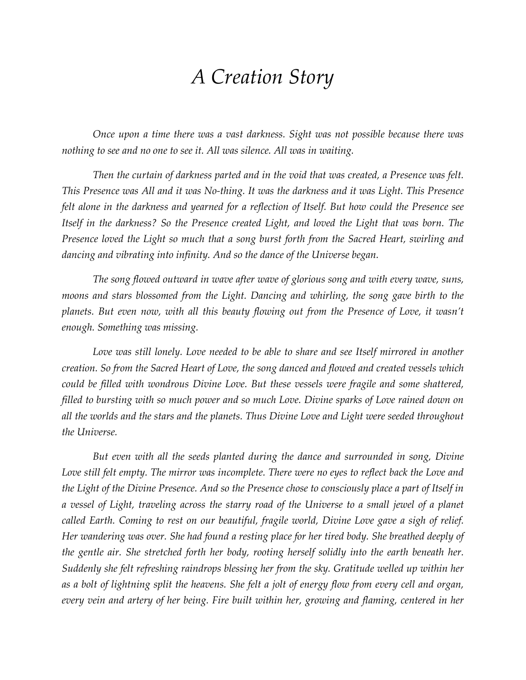## *A Creation Story*

*Once upon a time there was a vast darkness. Sight was not possible because there was nothing to see and no one to see it. All was silence. All was in waiting.*

*Then the curtain of darkness parted and in the void that was created, a Presence was felt. This Presence was All and it was No-thing. It was the darkness and it was Light. This Presence felt alone in the darkness and yearned for a reflection of Itself. But how could the Presence see Itself in the darkness? So the Presence created Light, and loved the Light that was born. The Presence loved the Light so much that a song burst forth from the Sacred Heart, swirling and dancing and vibrating into infinity. And so the dance of the Universe began.*

*The song flowed outward in wave after wave of glorious song and with every wave, suns, moons and stars blossomed from the Light. Dancing and whirling, the song gave birth to the planets. But even now, with all this beauty flowing out from the Presence of Love, it wasn't enough. Something was missing.*

Love was still lonely. Love needed to be able to share and see Itself mirrored in another *creation. So from the Sacred Heart of Love, the song danced and flowed and created vessels which could be filled with wondrous Divine Love. But these vessels were fragile and some shattered, filled to bursting with so much power and so much Love. Divine sparks of Love rained down on all the worlds and the stars and the planets. Thus Divine Love and Light were seeded throughout the Universe.*

*But even with all the seeds planted during the dance and surrounded in song, Divine Love still felt empty. The mirror was incomplete. There were no eyes to reflect back the Love and the Light of the Divine Presence. And so the Presence chose to consciously place a part of Itself in a vessel of Light, traveling across the starry road of the Universe to a small jewel of a planet called Earth. Coming to rest on our beautiful, fragile world, Divine Love gave a sigh of relief. Her wandering was over. She had found a resting place for her tired body. She breathed deeply of the gentle air. She stretched forth her body, rooting herself solidly into the earth beneath her. Suddenly she felt refreshing raindrops blessing her from the sky. Gratitude welled up within her as a bolt of lightning split the heavens. She felt a jolt of energy flow from every cell and organ, every vein and artery of her being. Fire built within her, growing and flaming, centered in her*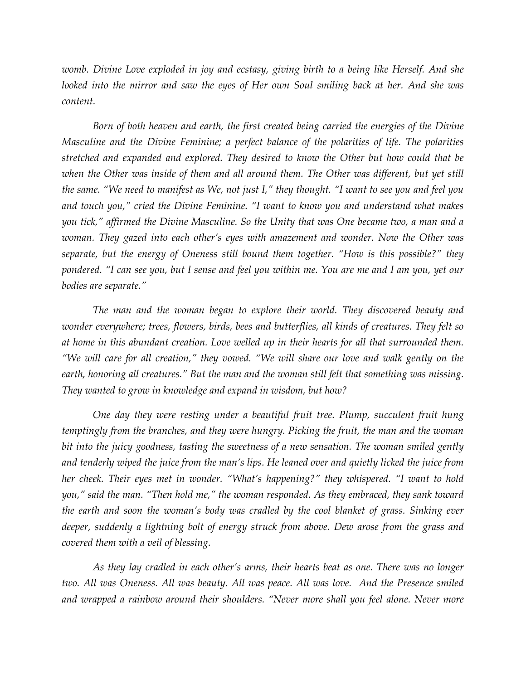*womb. Divine Love exploded in joy and ecstasy, giving birth to a being like Herself. And she*  looked into the mirror and saw the eyes of Her own Soul smiling back at her. And she was *content.*

*Born of both heaven and earth, the first created being carried the energies of the Divine Masculine and the Divine Feminine; a perfect balance of the polarities of life. The polarities stretched and expanded and explored. They desired to know the Other but how could that be when the Other was inside of them and all around them. The Other was different, but yet still the same. "We need to manifest as We, not just I," they thought. "I want to see you and feel you and touch you," cried the Divine Feminine. "I want to know you and understand what makes you tick," affirmed the Divine Masculine. So the Unity that was One became two, a man and a woman. They gazed into each other's eyes with amazement and wonder. Now the Other was separate, but the energy of Oneness still bound them together. "How is this possible?" they pondered. "I can see you, but I sense and feel you within me. You are me and I am you, yet our bodies are separate."*

*The man and the woman began to explore their world. They discovered beauty and wonder everywhere; trees, flowers, birds, bees and butterflies, all kinds of creatures. They felt so at home in this abundant creation. Love welled up in their hearts for all that surrounded them. "We will care for all creation," they vowed. "We will share our love and walk gently on the earth, honoring all creatures." But the man and the woman still felt that something was missing. They wanted to grow in knowledge and expand in wisdom, but how?*

*One day they were resting under a beautiful fruit tree. Plump, succulent fruit hung temptingly from the branches, and they were hungry. Picking the fruit, the man and the woman*  bit into the juicy goodness, tasting the sweetness of a new sensation. The woman smiled gently *and tenderly wiped the juice from the man's lips. He leaned over and quietly licked the juice from her cheek. Their eyes met in wonder. "What's happening?" they whispered. "I want to hold you," said the man. "Then hold me," the woman responded. As they embraced, they sank toward the earth and soon the woman's body was cradled by the cool blanket of grass. Sinking ever deeper, suddenly a lightning bolt of energy struck from above. Dew arose from the grass and covered them with a veil of blessing.*

*As they lay cradled in each other's arms, their hearts beat as one. There was no longer two. All was Oneness. All was beauty. All was peace. All was love. And the Presence smiled and wrapped a rainbow around their shoulders. "Never more shall you feel alone. Never more*